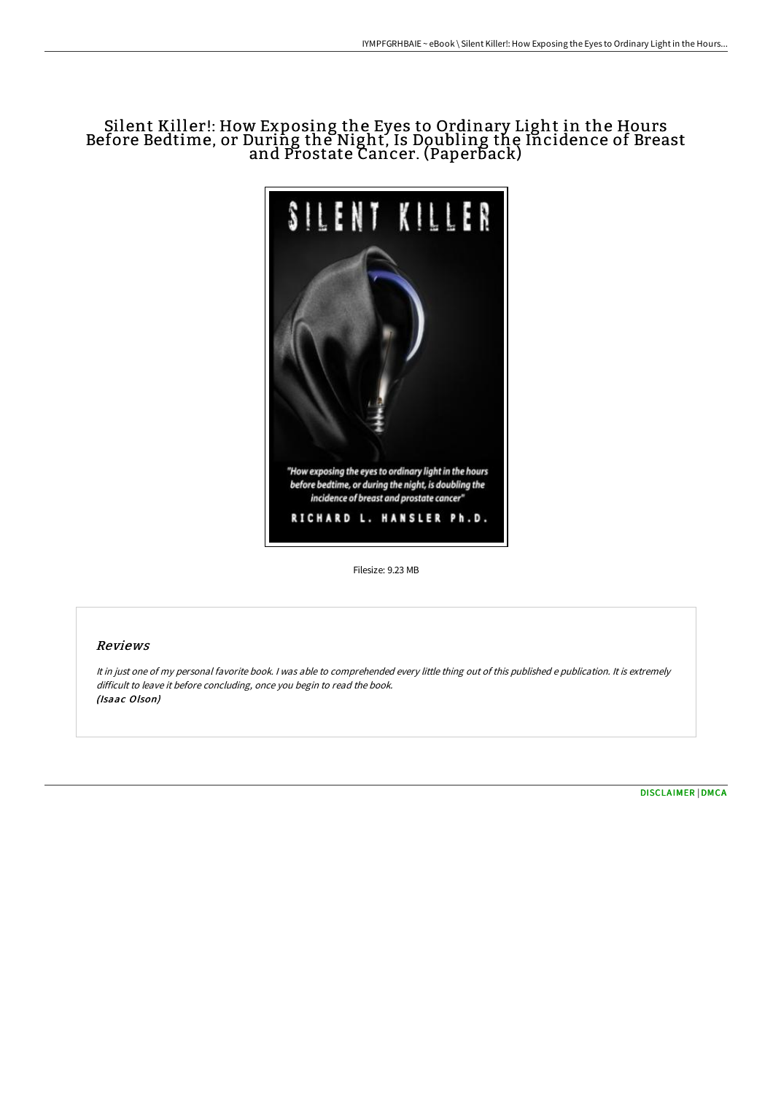## Silent Killer!: How Exposing the Eyes to Ordinary Light in the Hours Before Bedtime, or During the Night, Is Doubling the Incidence of Breast and Prostate Cancer. (Paperback)



Filesize: 9.23 MB

## Reviews

It in just one of my personal favorite book. <sup>I</sup> was able to comprehended every little thing out of this published <sup>e</sup> publication. It is extremely difficult to leave it before concluding, once you begin to read the book. (Isaac Olson)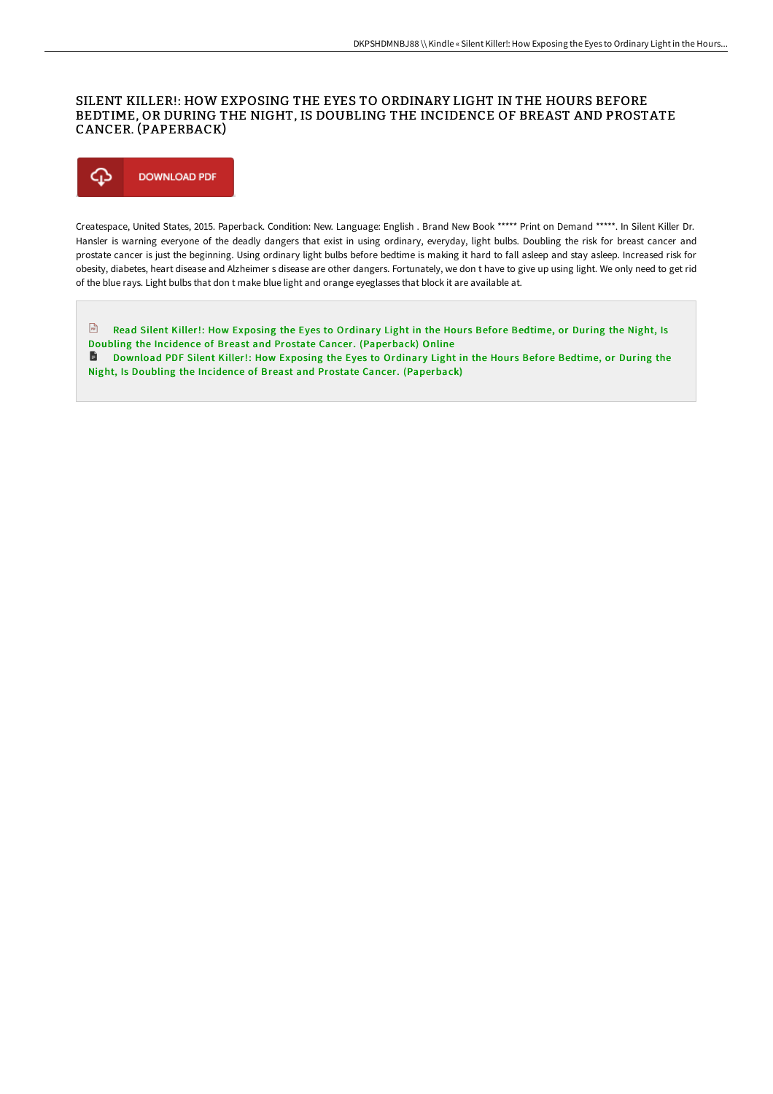## SILENT KILLER!: HOW EXPOSING THE EYES TO ORDINARY LIGHT IN THE HOURS BEFORE BEDTIME, OR DURING THE NIGHT, IS DOUBLING THE INCIDENCE OF BREAST AND PROSTATE CANCER. (PAPERBACK)



Createspace, United States, 2015. Paperback. Condition: New. Language: English . Brand New Book \*\*\*\*\* Print on Demand \*\*\*\*\*. In Silent Killer Dr. Hansler is warning everyone of the deadly dangers that exist in using ordinary, everyday, light bulbs. Doubling the risk for breast cancer and prostate cancer is just the beginning. Using ordinary light bulbs before bedtime is making it hard to fall asleep and stay asleep. Increased risk for obesity, diabetes, heart disease and Alzheimer s disease are other dangers. Fortunately, we don t have to give up using light. We only need to get rid of the blue rays. Light bulbs that don t make blue light and orange eyeglasses that block it are available at.

 $\frac{1}{100}$ Read Silent Killer!: How Exposing the Eyes to Ordinary Light in the Hours Before Bedtime, or During the Night, Is Doubling the Incidence of Breast and Prostate Cancer. [\(Paperback\)](http://albedo.media/silent-killer-how-exposing-the-eyes-to-ordinary-.html) Online

**D** Download PDF Silent Killer!: How Exposing the Eyes to Ordinary Light in the Hours Before Bedtime, or During the Night, Is Doubling the Incidence of Breast and Prostate Cancer. [\(Paperback\)](http://albedo.media/silent-killer-how-exposing-the-eyes-to-ordinary-.html)